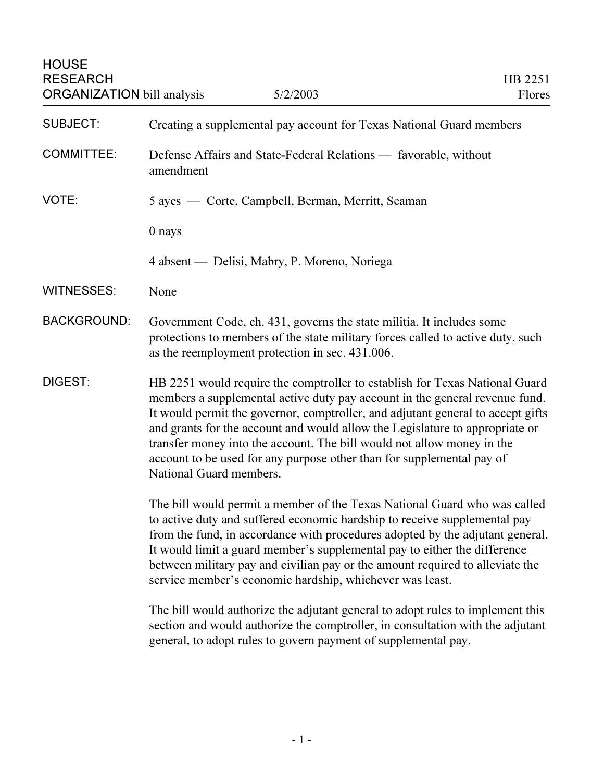| <b>SUBJECT:</b>    | Creating a supplemental pay account for Texas National Guard members                                                                                                                                                                                                                                                                                                                                                                                                                                        |
|--------------------|-------------------------------------------------------------------------------------------------------------------------------------------------------------------------------------------------------------------------------------------------------------------------------------------------------------------------------------------------------------------------------------------------------------------------------------------------------------------------------------------------------------|
| <b>COMMITTEE:</b>  | Defense Affairs and State-Federal Relations — favorable, without<br>amendment                                                                                                                                                                                                                                                                                                                                                                                                                               |
| VOTE:              | 5 ayes — Corte, Campbell, Berman, Merritt, Seaman                                                                                                                                                                                                                                                                                                                                                                                                                                                           |
|                    | 0 nays                                                                                                                                                                                                                                                                                                                                                                                                                                                                                                      |
|                    | 4 absent — Delisi, Mabry, P. Moreno, Noriega                                                                                                                                                                                                                                                                                                                                                                                                                                                                |
| <b>WITNESSES:</b>  | None                                                                                                                                                                                                                                                                                                                                                                                                                                                                                                        |
| <b>BACKGROUND:</b> | Government Code, ch. 431, governs the state militia. It includes some<br>protections to members of the state military forces called to active duty, such<br>as the reemployment protection in sec. 431.006.                                                                                                                                                                                                                                                                                                 |
| DIGEST:            | HB 2251 would require the comptroller to establish for Texas National Guard<br>members a supplemental active duty pay account in the general revenue fund.<br>It would permit the governor, comptroller, and adjutant general to accept gifts<br>and grants for the account and would allow the Legislature to appropriate or<br>transfer money into the account. The bill would not allow money in the<br>account to be used for any purpose other than for supplemental pay of<br>National Guard members. |
|                    | The bill would permit a member of the Texas National Guard who was called<br>to active duty and suffered economic hardship to receive supplemental pay<br>from the fund, in accordance with procedures adopted by the adjutant general.<br>It would limit a guard member's supplemental pay to either the difference<br>between military pay and civilian pay or the amount required to alleviate the<br>service member's economic hardship, whichever was least.                                           |
|                    | The bill would authorize the adjutant general to adopt rules to implement this<br>section and would authorize the comptroller, in consultation with the adjutant<br>general, to adopt rules to govern payment of supplemental pay.                                                                                                                                                                                                                                                                          |